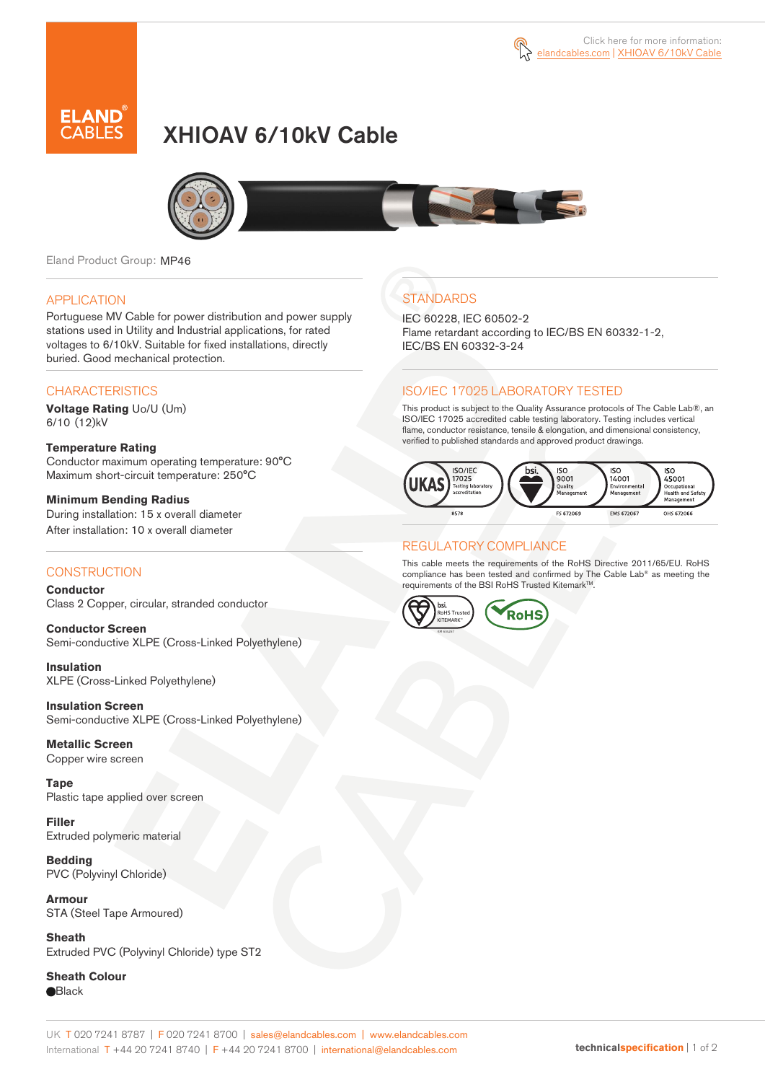

# XHIOAV 6/10kV Cable



Eland Product Group: MP46

#### APPLICATION

Portuguese MV Cable for power distribution and power supply stations used in Utility and Industrial applications, for rated voltages to 6/10kV. Suitable for fixed installations, directly buried. Good mechanical protection.

### **CHARACTERISTICS**

**Voltage Rating** Uo/U (Um) 6/10 (12)kV

**Temperature Rating**  Conductor maximum operating temperature: 90°C Maximum short-circuit temperature: 250°C

**Minimum Bending Radius**  During installation: 15 x overall diameter After installation: 10 x overall diameter

#### **CONSTRUCTION**

**Conductor**  Class 2 Copper, circular, stranded conductor

**Conductor Screen** Semi-conductive XLPE (Cross-Linked Polyethylene)

**Insulation** XLPE (Cross-Linked Polyethylene)

**Insulation Screen** Semi-conductive XLPE (Cross-Linked Polyethylene)

**Metallic Screen**  Copper wire screen

**Tape** Plastic tape applied over screen

**Filler** Extruded polymeric material

**Bedding** PVC (Polyvinyl Chloride)

**Armour** STA (Steel Tape Armoured)

**Sheath** Extruded PVC (Polyvinyl Chloride) type ST2

**Sheath Colour Black** 

## **STANDARDS**

IEC 60228, IEC 60502-2 Flame retardant according to IEC/BS EN 60332-1-2, IEC/BS EN 60332-3-24

### ISO/IEC 17025 LABORATORY TESTED

This product is subject to the Quality Assurance protocols of The Cable Lab®, an ISO/IEC 17025 accredited cable testing laboratory. Testing includes vertical flame, conductor resistance, tensile & elongation, and dimensional consistency, verified to published standards and approved product drawings.



### REGULATORY COMPLIANCE

This cable meets the requirements of the RoHS Directive 2011/65/EU. RoHS compliance has been tested and confirmed by The Cable Lab® as meeting the requirements of the BSI RoHS Trusted Kitemark™.